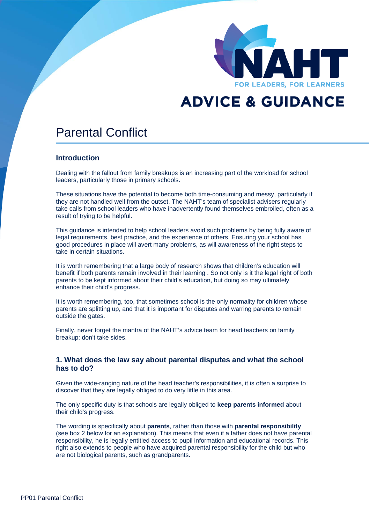

# **ADVICE & GUIDANCE**

## Parental Conflict

## **Introduction**

Dealing with the fallout from family breakups is an increasing part of the workload for school leaders, particularly those in primary schools.

These situations have the potential to become both time-consuming and messy, particularly if they are not handled well from the outset. The NAHT's team of specialist advisers regularly take calls from school leaders who have inadvertently found themselves embroiled, often as a result of trying to be helpful.

This guidance is intended to help school leaders avoid such problems by being fully aware of legal requirements, best practice, and the experience of others. Ensuring your school has good procedures in place will avert many problems, as will awareness of the right steps to take in certain situations.

It is worth remembering that a large body of research shows that children's education will benefit if both parents remain involved in their learning . So not only is it the legal right of both parents to be kept informed about their child's education, but doing so may ultimately enhance their child's progress.

It is worth remembering, too, that sometimes school is the only normality for children whose parents are splitting up, and that it is important for disputes and warring parents to remain outside the gates.

Finally, never forget the mantra of the NAHT's advice team for head teachers on family breakup: don't take sides.

### **1. What does the law say about parental disputes and what the school has to do?**

Given the wide-ranging nature of the head teacher's responsibilities, it is often a surprise to discover that they are legally obliged to do very little in this area.

The only specific duty is that schools are legally obliged to **keep parents informed** about their child's progress.

The wording is specifically about **parents**, rather than those with **parental responsibility** (see box 2 below for an explanation). This means that even if a father does not have parental responsibility, he is legally entitled access to pupil information and educational records. This right also extends to people who have acquired parental responsibility for the child but who are not biological parents, such as grandparents.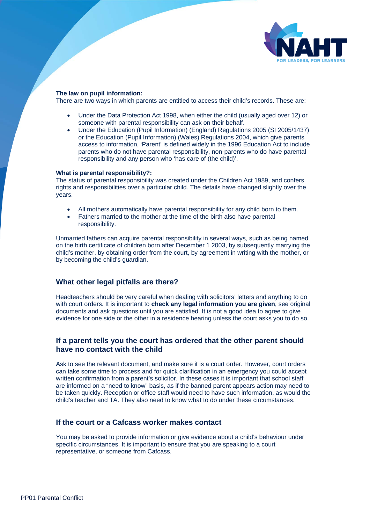

#### **The law on pupil information:**

There are two ways in which parents are entitled to access their child's records. These are:

- Under the Data Protection Act 1998, when either the child (usually aged over 12) or someone with parental responsibility can ask on their behalf.
- Under the Education (Pupil Information) (England) Regulations 2005 (SI 2005/1437) or the Education (Pupil Information) (Wales) Regulations 2004, which give parents access to information, 'Parent' is defined widely in the 1996 Education Act to include parents who do not have parental responsibility, non-parents who do have parental responsibility and any person who 'has care of (the child)'.

#### **What is parental responsibility?:**

The status of parental responsibility was created under the Children Act 1989, and confers rights and responsibilities over a particular child. The details have changed slightly over the years.

- All mothers automatically have parental responsibility for any child born to them.
- Fathers married to the mother at the time of the birth also have parental responsibility.

Unmarried fathers can acquire parental responsibility in several ways, such as being named on the birth certificate of children born after December 1 2003, by subsequently marrying the child's mother, by obtaining order from the court, by agreement in writing with the mother, or by becoming the child's guardian.

## **What other legal pitfalls are there?**

Headteachers should be very careful when dealing with solicitors' letters and anything to do with court orders. It is important to **check any legal information you are given**, see original documents and ask questions until you are satisfied. It is not a good idea to agree to give evidence for one side or the other in a residence hearing unless the court asks you to do so.

## **If a parent tells you the court has ordered that the other parent should have no contact with the child**

Ask to see the relevant document, and make sure it is a court order. However, court orders can take some time to process and for quick clarification in an emergency you could accept written confirmation from a parent's solicitor. In these cases it is important that school staff are informed on a "need to know" basis, as if the banned parent appears action may need to be taken quickly. Reception or office staff would need to have such information, as would the child's teacher and TA. They also need to know what to do under these circumstances.

## **If the court or a Cafcass worker makes contact**

You may be asked to provide information or give evidence about a child's behaviour under specific circumstances. It is important to ensure that you are speaking to a court representative, or someone from Cafcass.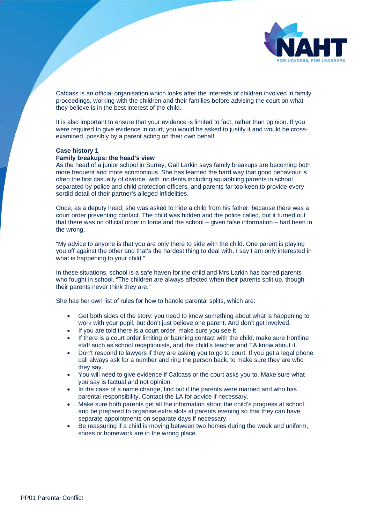

Cafcass is an official organisation which looks after the interests of children involved in family proceedings, working with the children and their families before advising the court on what they believe is in the best interest of the child.

It is also important to ensure that your evidence is limited to fact, rather than opinion. If you were required to give evidence in court, you would be asked to justify it and would be crossexamined, possibly by a parent acting on their own behalf.

#### **Case history 1**

#### **Family breakups: the head's view**

As the head of a junior school in Surrey, Gail Larkin says family breakups are becoming both more frequent and more acrimonious. She has learned the hard way that good behaviour is often the first casualty of divorce, with incidents including squabbling parents in school separated by police and child protection officers, and parents far too keen to provide every sordid detail of their partner's alleged infidelities.

Once, as a deputy head, she was asked to hide a child from his father, because there was a court order preventing contact. The child was hidden and the police called, but it turned out that there was no official order in force and the school – given false information – had been in the wrong.

"My advice to anyone is that you are only there to side with the child. One parent is playing you off against the other and that's the hardest thing to deal with. I say I am only interested in what is happening to your child."

In these situations, school is a safe haven for the child and Mrs Larkin has barred parents who fought in school. "The children are always affected when their parents split up, though their parents never think they are."

She has her own list of rules for how to handle parental splits, which are:

- Get both sides of the story: you need to know something about what is happening to work with your pupil, but don't just believe one parent. And don't get involved.
- If you are told there is a court order, make sure you see it
- If there is a court order limiting or banning contact with the child, make sure frontline staff such as school receptionists, and the child's teacher and TA know about it.
- Don't respond to lawyers if they are asking you to go to court. If you get a legal phone call always ask for a number and ring the person back, to make sure they are who they say.
- You will need to give evidence if Cafcass or the court asks you to. Make sure what you say is factual and not opinion.
- In the case of a name change, find out if the parents were married and who has parental responsibility. Contact the LA for advice if necessary.
- Make sure both parents get all the information about the child's progress at school and be prepared to organise extra slots at parents evening so that they can have separate appointments on separate days if necessary.
- Be reassuring if a child is moving between two homes during the week and uniform, shoes or homework are in the wrong place.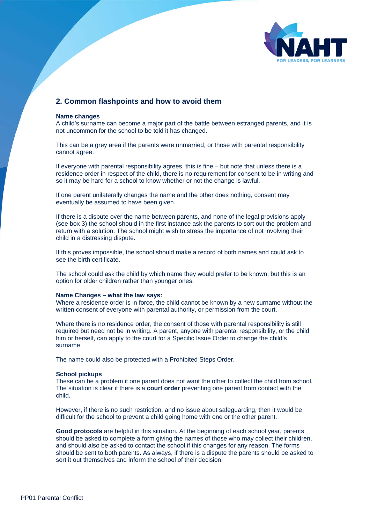

## **2. Common flashpoints and how to avoid them**

#### **Name changes**

A child's surname can become a major part of the battle between estranged parents, and it is not uncommon for the school to be told it has changed.

This can be a grey area if the parents were unmarried, or those with parental responsibility cannot agree.

If everyone with parental responsibility agrees, this is fine – but note that unless there is a residence order in respect of the child, there is no requirement for consent to be in writing and so it may be hard for a school to know whether or not the change is lawful.

If one parent unilaterally changes the name and the other does nothing, consent may eventually be assumed to have been given.

If there is a dispute over the name between parents, and none of the legal provisions apply (see box 3) the school should in the first instance ask the parents to sort out the problem and return with a solution. The school might wish to stress the importance of not involving their child in a distressing dispute.

If this proves impossible, the school should make a record of both names and could ask to see the birth certificate.

The school could ask the child by which name they would prefer to be known, but this is an option for older children rather than younger ones.

#### **Name Changes – what the law says:**

Where a residence order is in force, the child cannot be known by a new surname without the written consent of everyone with parental authority, or permission from the court.

Where there is no residence order, the consent of those with parental responsibility is still required but need not be in writing. A parent, anyone with parental responsibility, or the child him or herself, can apply to the court for a Specific Issue Order to change the child's surname.

The name could also be protected with a Prohibited Steps Order.

#### **School pickups**

These can be a problem if one parent does not want the other to collect the child from school. The situation is clear if there is a **court order** preventing one parent from contact with the child.

However, if there is no such restriction, and no issue about safeguarding, then it would be difficult for the school to prevent a child going home with one or the other parent.

**Good protocols** are helpful in this situation. At the beginning of each school year, parents should be asked to complete a form giving the names of those who may collect their children, and should also be asked to contact the school if this changes for any reason. The forms should be sent to both parents. As always, if there is a dispute the parents should be asked to sort it out themselves and inform the school of their decision.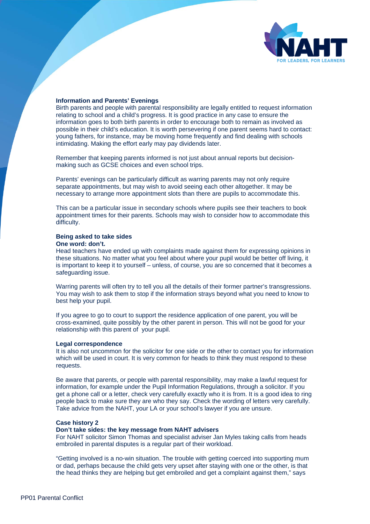

#### **Information and Parents' Evenings**

Birth parents and people with parental responsibility are legally entitled to request information relating to school and a child's progress. It is good practice in any case to ensure the information goes to both birth parents in order to encourage both to remain as involved as possible in their child's education. It is worth persevering if one parent seems hard to contact: young fathers, for instance, may be moving home frequently and find dealing with schools intimidating. Making the effort early may pay dividends later.

Remember that keeping parents informed is not just about annual reports but decisionmaking such as GCSE choices and even school trips.

Parents' evenings can be particularly difficult as warring parents may not only require separate appointments, but may wish to avoid seeing each other altogether. It may be necessary to arrange more appointment slots than there are pupils to accommodate this.

This can be a particular issue in secondary schools where pupils see their teachers to book appointment times for their parents. Schools may wish to consider how to accommodate this difficulty.

## **Being asked to take sides**

#### **One word: don't.**

Head teachers have ended up with complaints made against them for expressing opinions in these situations. No matter what you feel about where your pupil would be better off living, it is important to keep it to yourself – unless, of course, you are so concerned that it becomes a safeguarding issue.

Warring parents will often try to tell you all the details of their former partner's transgressions. You may wish to ask them to stop if the information strays beyond what you need to know to best help your pupil.

If you agree to go to court to support the residence application of one parent, you will be cross-examined, quite possibly by the other parent in person. This will not be good for your relationship with this parent of your pupil.

#### **Legal correspondence**

It is also not uncommon for the solicitor for one side or the other to contact you for information which will be used in court. It is very common for heads to think they must respond to these requests.

Be aware that parents, or people with parental responsibility, may make a lawful request for information, for example under the Pupil Information Regulations, through a solicitor. If you get a phone call or a letter, check very carefully exactly who it is from. It is a good idea to ring people back to make sure they are who they say. Check the wording of letters very carefully. Take advice from the NAHT, your LA or your school's lawyer if you are unsure.

#### **Case history 2**

#### **Don't take sides: the key message from NAHT advisers**

For NAHT solicitor Simon Thomas and specialist adviser Jan Myles taking calls from heads embroiled in parental disputes is a regular part of their workload.

"Getting involved is a no-win situation. The trouble with getting coerced into supporting mum or dad, perhaps because the child gets very upset after staying with one or the other, is that the head thinks they are helping but get embroiled and get a complaint against them," says